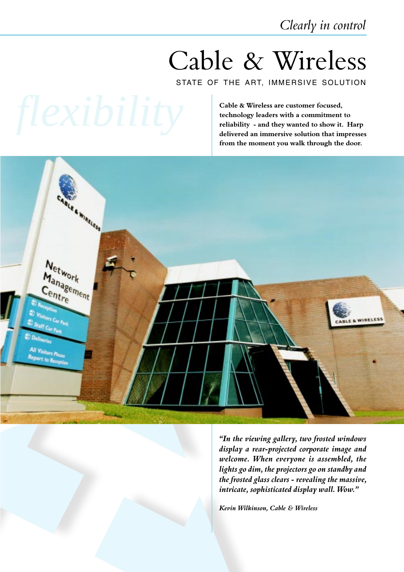Clearly in control

# Cable & Wireless

STATE OF THE ART, IMMERSIVE SOLUTION

Cable & Wireless are customer focused, technology leaders with a commitment to reliability - and they wanted to show it. Harp delivered an immersive solution that impresses from the moment you walk through the door.



In the viewing gallery, two frosted windows display a rear-projected corporate image and welcome. When everyone is assembled, the lights go dim, the projectors go on standby and the frosted glass clears - revealing the massive, intricate, sophisticated display wall. Wow.

Kevin Wilkinson, Cable & Wireless